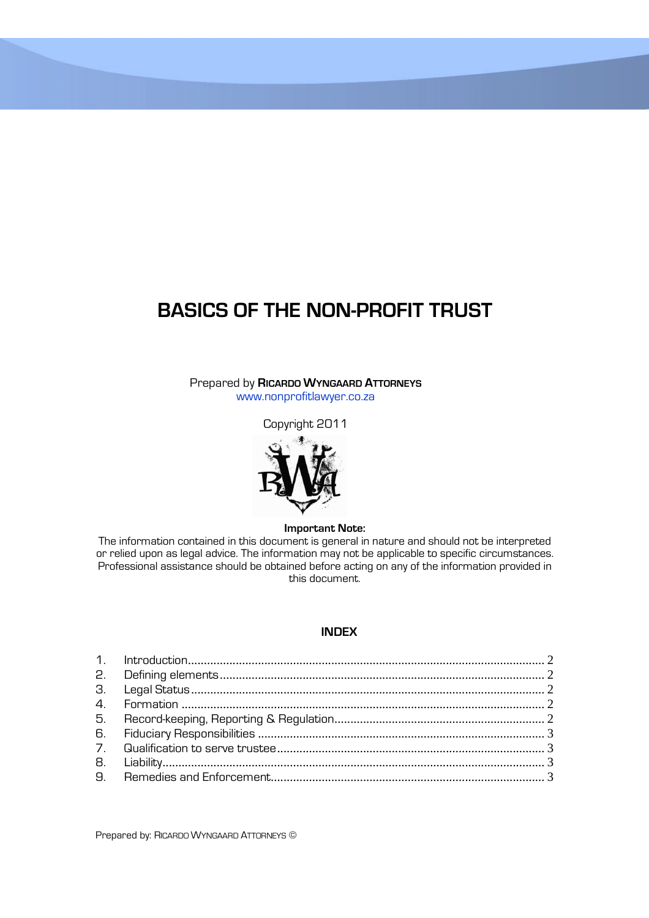# **BASICS OF THE NON-PROFIT TRUST**

Prepared by **RICARDO WYNGAARD ATTORNEYS** www.nonprofitlawyer.co.za

Copyright 2011



#### **Important Note:**

The information contained in this document is general in nature and should not be interpreted or relied upon as legal advice. The information may not be applicable to specific circumstances. Professional assistance should be obtained before acting on any of the information provided in this document.

## **INDEX**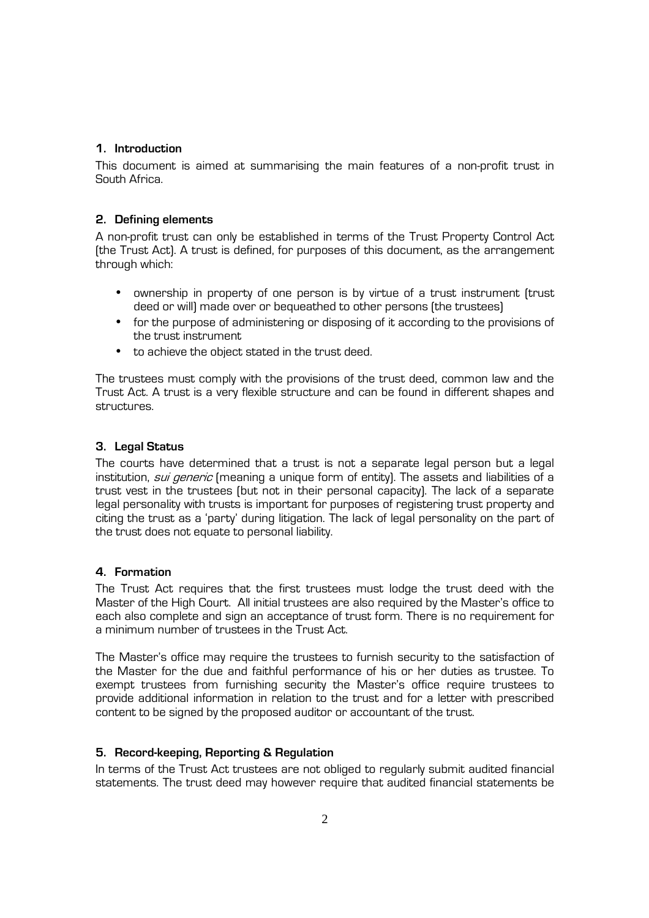## **1. Introduction**

This document is aimed at summarising the main features of a non-profit trust in South Africa.

## **2. Defining elements**

A non-profit trust can only be established in terms of the Trust Property Control Act (the Trust Act). A trust is defined, for purposes of this document, as the arrangement through which:

- ownership in property of one person is by virtue of a trust instrument (trust deed or will) made over or bequeathed to other persons (the trustees)
- for the purpose of administering or disposing of it according to the provisions of the trust instrument
- to achieve the object stated in the trust deed.

The trustees must comply with the provisions of the trust deed, common law and the Trust Act. A trust is a very flexible structure and can be found in different shapes and structures.

## **3. Legal Status**

The courts have determined that a trust is not a separate legal person but a legal institution, *sui generic* (meaning a unique form of entity). The assets and liabilities of a trust vest in the trustees (but not in their personal capacity). The lack of a separate legal personality with trusts is important for purposes of registering trust property and citing the trust as a 'party' during litigation. The lack of legal personality on the part of the trust does not equate to personal liability.

## **4. Formation**

The Trust Act requires that the first trustees must lodge the trust deed with the Master of the High Court. All initial trustees are also required by the Master's office to each also complete and sign an acceptance of trust form. There is no requirement for a minimum number of trustees in the Trust Act.

The Master's office may require the trustees to furnish security to the satisfaction of the Master for the due and faithful performance of his or her duties as trustee. To exempt trustees from furnishing security the Master's office require trustees to provide additional information in relation to the trust and for a letter with prescribed content to be signed by the proposed auditor or accountant of the trust.

## **5. Record-keeping, Reporting & Regulation**

In terms of the Trust Act trustees are not obliged to regularly submit audited financial statements. The trust deed may however require that audited financial statements be